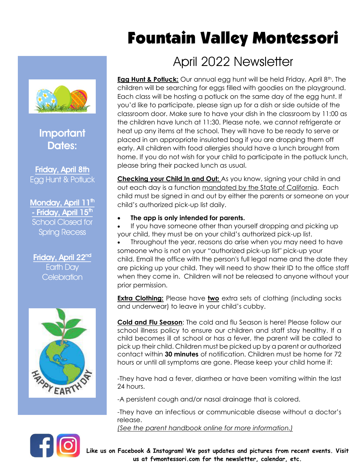# Fountain Valley Montessori



## **Important** Dates:

Friday, April 8th Egg Hunt & Potluck

Monday, April 11<sup>th</sup> - Friday, April 15<sup>th</sup> School Closed for Spring Recess

Friday, April 22<sup>nd</sup> Earth Day **Celebration** 



# April 2022 Newsletter

**Egg Hunt & Potluck:** Our annual egg hunt will be held Friday, April 8<sup>th</sup>. The children will be searching for eggs filled with goodies on the playground. Each class will be hosting a potluck on the same day of the egg hunt. If you'd like to participate, please sign up for a dish or side outside of the classroom door. Make sure to have your dish in the classroom by 11:00 as the children have lunch at 11:30. Please note, we cannot refrigerate or heat up any items at the school. They will have to be ready to serve or placed in an appropriate insulated bag if you are dropping them off early. All children with food allergies should have a lunch brought from home. If you do not wish for your child to participate in the potluck lunch, please bring their packed lunch as usual.

**Checking your Child In and Out:** As you know, signing your child in and out each day is a function mandated by the State of California. Each child must be signed in and out by either the parents or someone on your child's authorized pick-up list daily.

• **The app is only intended for parents.**

If you have someone other than yourself dropping and picking up your child, they must be on your child's authorized pick-up list.

• Throughout the year, reasons do arise when you may need to have someone who is not on your "authorized pick-up list" pick-up your child. Email the office with the person's full legal name and the date they are picking up your child. They will need to show their ID to the office staff when they come in. Children will not be released to anyone without your prior permission.

**Extra Clothing:** Please have **two** extra sets of clothing (including socks and underwear) to leave in your child's cubby.

**Cold and Flu Season**: The cold and flu Season is here! Please follow our school illness policy to ensure our children and staff stay healthy. If a child becomes ill at school or has a fever, the parent will be called to pick up their child. Children must be picked up by a parent or authorized contact within **30 minutes** of notification. Children must be home for 72 hours or until all symptoms are gone. Please keep your child home if:

-They have had a fever, diarrhea or have been vomiting within the last 24 hours.

-A persistent cough and/or nasal drainage that is colored.

-They have an infectious or communicable disease without a doctor's release.

*(See the parent handbook online for more information.)* 

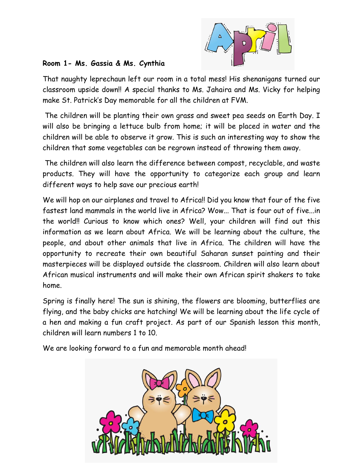

#### **Room 1- Ms. Gassia & Ms. Cynthia**

That naughty leprechaun left our room in a total mess! His shenanigans turned our classroom upside down!! A special thanks to Ms. Jahaira and Ms. Vicky for helping make St. Patrick's Day memorable for all the children at FVM.

The children will be planting their own grass and sweet pea seeds on Earth Day. I will also be bringing a lettuce bulb from home; it will be placed in water and the children will be able to observe it grow. This is such an interesting way to show the children that some vegetables can be regrown instead of throwing them away.

The children will also learn the difference between compost, recyclable, and waste products. They will have the opportunity to categorize each group and learn different ways to help save our precious earth!

We will hop on our airplanes and travel to Africa!! Did you know that four of the five fastest land mammals in the world live in Africa? Wow... That is four out of five...in the world!! Curious to know which ones? Well, your children will find out this information as we learn about Africa. We will be learning about the culture, the people, and about other animals that live in Africa. The children will have the opportunity to recreate their own beautiful Saharan sunset painting and their masterpieces will be displayed outside the classroom. Children will also learn about African musical instruments and will make their own African spirit shakers to take home.

Spring is finally here! The sun is shining, the flowers are blooming, butterflies are flying, and the baby chicks are hatching! We will be learning about the life cycle of a hen and making a fun craft project. As part of our Spanish lesson this month, children will learn numbers 1 to 10.

We are looking forward to a fun and memorable month ahead!

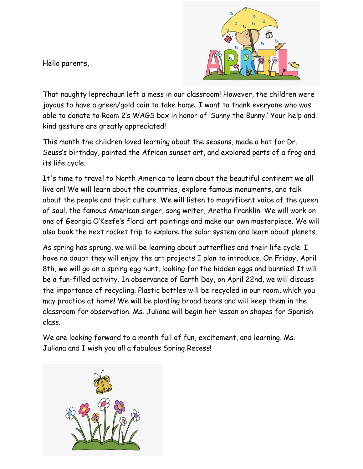Hello parents,



That naughty leprechaun left a mess in our classroom! However, the children were joyous to have a green/gold coin to take home. I want to thank everyone who was able to donate to Room 2's WAGS box in honor of 'Sunny the Bunny.' Your help and kind gesture are greatly appreciated!

This month the children loved learning about the seasons, made a hat for Dr. Seuss's birthday, painted the African sunset art, and explored parts of a frog and its life cycle.

It's time to travel to North America to learn about the beautiful continent we all live on! We will learn about the countries, explore famous monuments, and talk about the people and their culture. We will listen to magnificent voice of the queen of soul, the famous American singer, song writer, Aretha Franklin. We will work on one of Georgia O'Keefe's floral art paintings and make our own masterpiece. We will also book the next rocket trip to explore the solar system and learn about planets.

As spring has sprung, we will be learning about butterflies and their life cycle. I have no doubt they will enjoy the art projects I plan to introduce. On Friday, April 8th, we will go on a spring egg hunt, looking for the hidden eggs and bunnies! It will be a fun-filled activity. In observance of Earth Day, on April 22nd, we will discuss the importance of recycling. Plastic bottles will be recycled in our room, which you may practice at home! We will be planting broad beans and will keep them in the classroom for observation. Ms. Juliana will begin her lesson on shapes for Spanish class.

We are looking forward to a month full of fun, excitement, and learning. Ms. Juliana and I wish you all a fabulous Spring Recess!

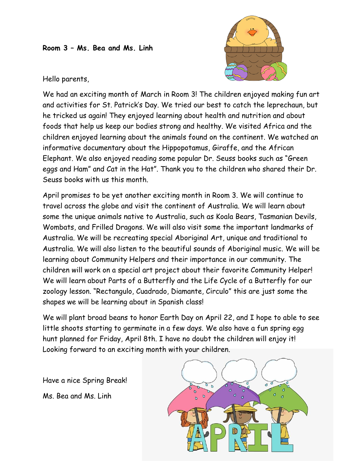#### **Room 3 – Ms. Bea and Ms. Linh**



Hello parents,

We had an exciting month of March in Room 3! The children enjoyed making fun art and activities for St. Patrick's Day. We tried our best to catch the leprechaun, but he tricked us again! They enjoyed learning about health and nutrition and about foods that help us keep our bodies strong and healthy. We visited Africa and the children enjoyed learning about the animals found on the continent. We watched an informative documentary about the Hippopotamus, Giraffe, and the African Elephant. We also enjoyed reading some popular Dr. Seuss books such as "Green eggs and Ham" and Cat in the Hat". Thank you to the children who shared their Dr. Seuss books with us this month.

April promises to be yet another exciting month in Room 3. We will continue to travel across the globe and visit the continent of Australia. We will learn about some the unique animals native to Australia, such as Koala Bears, Tasmanian Devils, Wombats, and Frilled Dragons. We will also visit some the important landmarks of Australia. We will be recreating special Aboriginal Art, unique and traditional to Australia. We will also listen to the beautiful sounds of Aboriginal music. We will be learning about Community Helpers and their importance in our community. The children will work on a special art project about their favorite Community Helper! We will learn about Parts of a Butterfly and the Life Cycle of a Butterfly for our zoology lesson. "Rectangulo, Cuadrado, Diamante, Circulo" this are just some the shapes we will be learning about in Spanish class!

We will plant broad beans to honor Earth Day on April 22, and I hope to able to see little shoots starting to germinate in a few days. We also have a fun spring egg hunt planned for Friday, April 8th. I have no doubt the children will enjoy it! Looking forward to an exciting month with your children.

Have a nice Spring Break! Ms. Bea and Ms. Linh

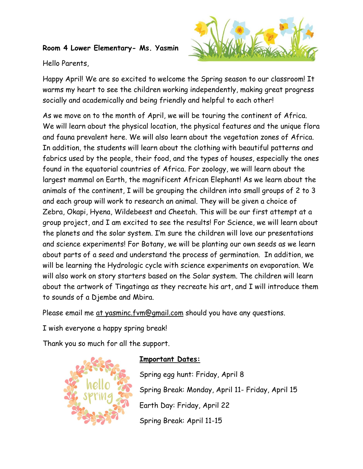#### **Room 4 Lower Elementary- Ms. Yasmin**



Hello Parents,

Happy April! We are so excited to welcome the Spring season to our classroom! It warms my heart to see the children working independently, making great progress socially and academically and being friendly and helpful to each other!

As we move on to the month of April, we will be touring the continent of Africa. We will learn about the physical location, the physical features and the unique flora and fauna prevalent here. We will also learn about the vegetation zones of Africa. In addition, the students will learn about the clothing with beautiful patterns and fabrics used by the people, their food, and the types of houses, especially the ones found in the equatorial countries of Africa. For zoology, we will learn about the largest mammal on Earth, the magnificent African Elephant! As we learn about the animals of the continent, I will be grouping the children into small groups of 2 to 3 and each group will work to research an animal. They will be given a choice of Zebra, Okapi, Hyena, Wildebeest and Cheetah. This will be our first attempt at a group project, and I am excited to see the results! For Science, we will learn about the planets and the solar system. I'm sure the children will love our presentations and science experiments! For Botany, we will be planting our own seeds as we learn about parts of a seed and understand the process of germination. In addition, we will be learning the Hydrologic cycle with science experiments on evaporation. We will also work on story starters based on the Solar system. The children will learn about the artwork of Tingatinga as they recreate his art, and I will introduce them to sounds of a Djembe and Mbira.

Please email me at yasminc.fvm@gmail.com should you have any questions.

I wish everyone a happy spring break!

Thank you so much for all the support.



### **Important Dates:**

Spring egg hunt: Friday, April 8 Spring Break: Monday, April 11- Friday, April 15 Earth Day: Friday, April 22 Spring Break: April 11-15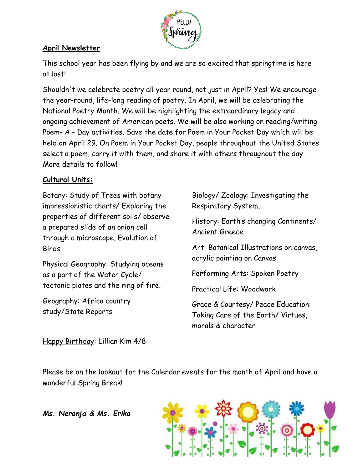

#### **April Newsletter**

This school year has been flying by and we are so excited that springtime is here at last!

Shouldn't we celebrate poetry all year round, not just in April? Yes! We encourage the year-round, life-long reading of poetry. In April, we will be celebrating the National Poetry Month. We will be highlighting the extraordinary legacy and ongoing achievement of American poets. We will be also working on reading/writing Poem- A - Day activities. Save the date for Poem in Your Pocket Day which will be held on April 29. On Poem in Your Pocket Day, people throughout the United States select a poem, carry it with them, and share it with others throughout the day. More details to follow!

#### **Cultural Units:**

Botany: Study of Trees with botany impressionistic charts/ Exploring the properties of different soils/ observe a prepared slide of an onion cell through a microscope, Evolution of Birds

Physical Geography: Studying oceans as a part of the Water Cycle/ tectonic plates and the ring of fire.

Geography: Africa country study/State Reports

Biology/ Zoology: Investigating the Respiratory System,

History: Earth's changing Continents/ Ancient Greece

Art: Botanical Illustrations on canvas, acrylic painting on Canvas

Performing Arts: Spoken Poetry

Practical Life: Woodwork

Grace & Courtesy/ Peace Education: Taking Care of the Earth/ Virtues, morals & character

Happy Birthday: Lillian Kim 4/8

Please be on the lookout for the Calendar events for the month of April and have a wonderful Spring Break!

*Ms. Neranja & Ms. Erika*

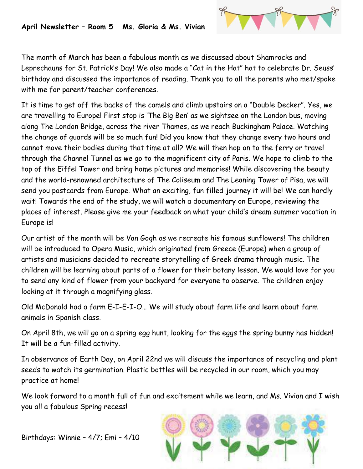The month of March has been a fabulous month as we discussed about Shamrocks and Leprechauns for St. Patrick's Day! We also made a "Cat in the Hat" hat to celebrate Dr. Seuss' birthday and discussed the importance of reading. Thank you to all the parents who met/spoke with me for parent/teacher conferences.

It is time to get off the backs of the camels and climb upstairs on a "Double Decker". Yes, we are travelling to Europe! First stop is 'The Big Ben' as we sightsee on the London bus, moving along The London Bridge, across the river Thames, as we reach Buckingham Palace. Watching the change of guards will be so much fun! Did you know that they change every two hours and cannot move their bodies during that time at all? We will then hop on to the ferry or travel through the Channel Tunnel as we go to the magnificent city of Paris. We hope to climb to the top of the Eiffel Tower and bring home pictures and memories! While discovering the beauty and the world-renowned architecture of The Coliseum and The Leaning Tower of Pisa, we will send you postcards from Europe. What an exciting, fun filled journey it will be! We can hardly wait! Towards the end of the study, we will watch a documentary on Europe, reviewing the places of interest. Please give me your feedback on what your child's dream summer vacation in Europe is!

Our artist of the month will be Van Gogh as we recreate his famous sunflowers! The children will be introduced to Opera Music, which originated from Greece (Europe) when a group of artists and musicians decided to recreate storytelling of Greek drama through music. The children will be learning about parts of a flower for their botany lesson. We would love for you to send any kind of flower from your backyard for everyone to observe. The children enjoy looking at it through a magnifying glass.

Old McDonald had a farm E-I-E-I-O… We will study about farm life and learn about farm animals in Spanish class.

On April 8th, we will go on a spring egg hunt, looking for the eggs the spring bunny has hidden! It will be a fun-filled activity.

In observance of Earth Day, on April 22nd we will discuss the importance of recycling and plant seeds to watch its germination. Plastic bottles will be recycled in our room, which you may practice at home!

We look forward to a month full of fun and excitement while we learn, and Ms. Vivian and I wish you all a fabulous Spring recess!

Birthdays: Winnie – 4/7; Emi – 4/10

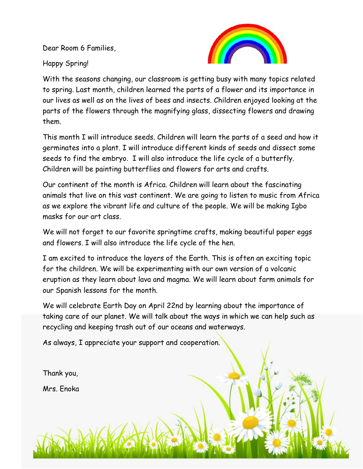Dear Room 6 Families,

Happy Spring!



With the seasons changing, our classroom is getting busy with many topics related to spring. Last month, children learned the parts of a flower and its importance in our lives as well as on the lives of bees and insects. Children enjoyed looking at the parts of the flowers through the magnifying glass, dissecting flowers and drawing them.

This month I will introduce seeds. Children will learn the parts of a seed and how it germinates into a plant. I will introduce different kinds of seeds and dissect some seeds to find the embryo. I will also introduce the life cycle of a butterfly. Children will be painting butterflies and flowers for arts and crafts.

Our continent of the month is Africa. Children will learn about the fascinating animals that live on this vast continent. We are going to listen to music from Africa as we explore the vibrant life and culture of the people. We will be making Igbo masks for our art class.

We will not forget to our favorite springtime crafts, making beautiful paper eggs and flowers. I will also introduce the life cycle of the hen.

I am excited to introduce the layers of the Earth. This is often an exciting topic for the children. We will be experimenting with our own version of a volcanic eruption as they learn about lava and magma. We will learn about farm animals for our Spanish lessons for the month.

We will celebrate Earth Day on April 22nd by learning about the importance of taking care of our planet. We will talk about the ways in which we can help such as recycling and keeping trash out of our oceans and waterways.

As always, I appreciate your support and cooperation.

Thank you,

Mrs. Enoka